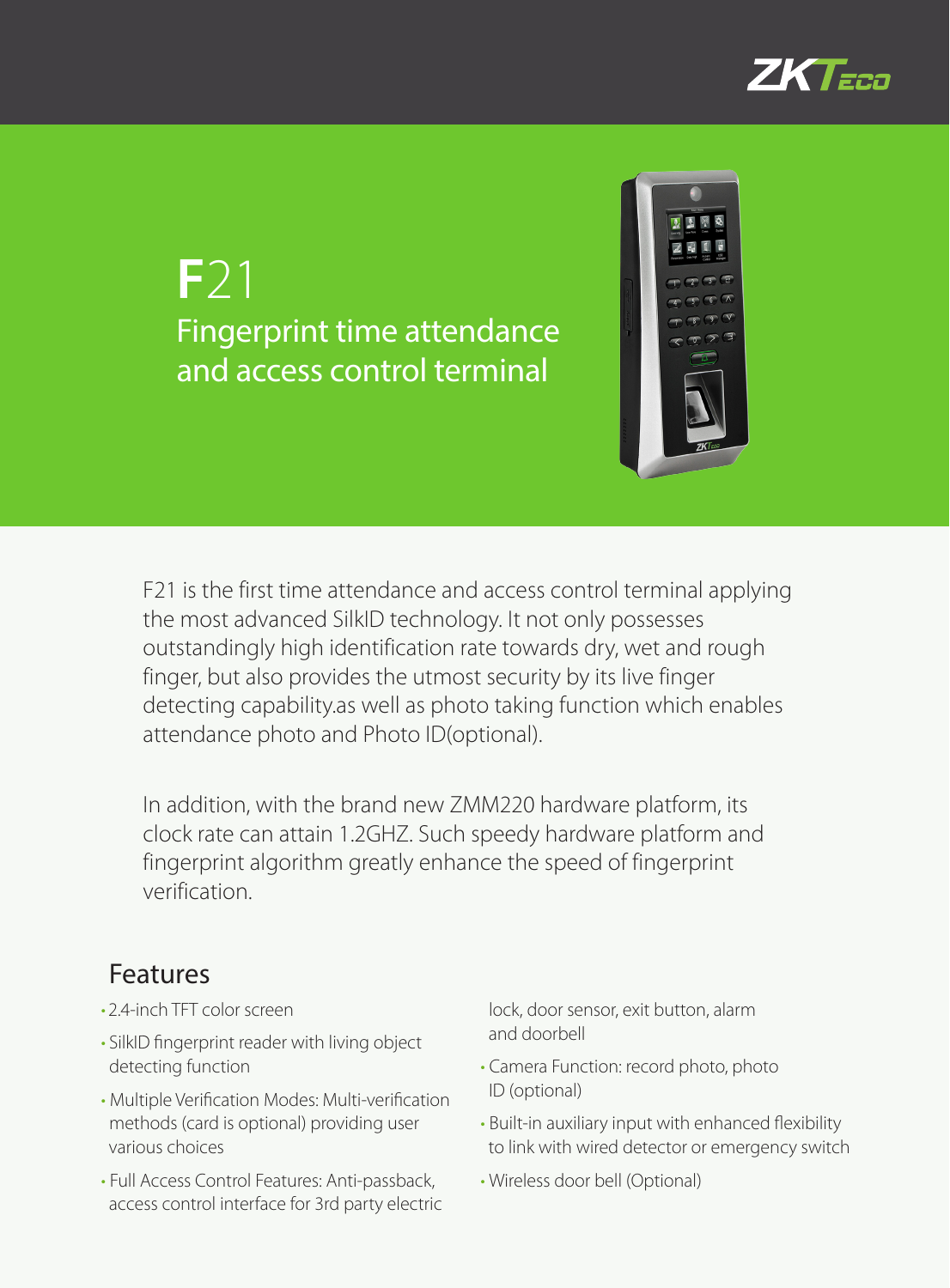

## **F**21 Fingerprint time attendance and access control terminal



F21 is the first time attendance and access control terminal applying the most advanced SilkID technology. It not only possesses outstandingly high identification rate towards dry, wet and rough finger, but also provides the utmost security by its live finger detecting capability.as well as photo taking function which enables attendance photo and Photo ID(optional).

In addition, with the brand new ZMM220 hardware platform, its clock rate can attain 1.2GHZ. Such speedy hardware platform and fingerprint algorithm greatly enhance the speed of fingerprint verification.

## Features

- 2.4-inch TFT color screen
- • SilkID fingerprint reader with living object detecting function
- • Multiple Verification Modes: Multi-verification methods (card is optional) providing user various choices
- Full Access Control Features: Anti-passback, access control interface for 3rd party electric

lock, door sensor, exit button, alarm and doorbell

- • Camera Function: record photo, photo ID (optional)
- Built-in auxiliary input with enhanced flexibility to link with wired detector or emergency switch
- • Wireless door bell (Optional)